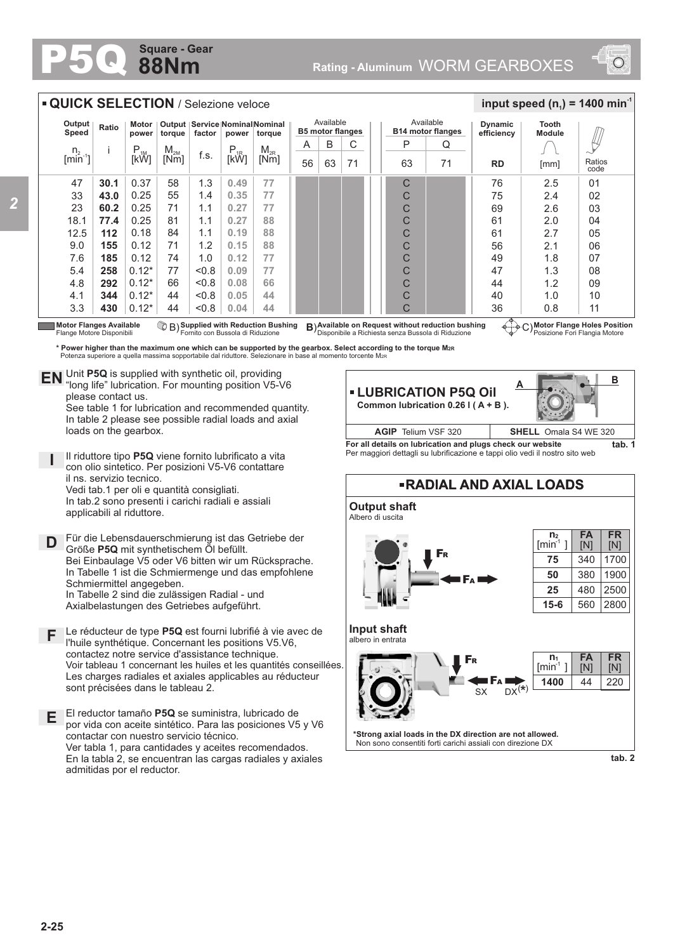## **88Nm Square - Gear**

**D** Für die Lebensdauerschmierung ist das Getriebe der<br>
Größe **P50** mit synthetischem Öl befüllt

Bei Einbaulage V5 oder V6 bitten wir um Rücksprache. In Tabelle 1 ist die Schmiermenge und das empfohlene

Il riduttore tipo **P5Q** viene fornito lubrificato a vita con olio sintetico. Per posizioni V5-V6 contattare

Vedi tab.1 per oli e quantità consigliati. In tab.2 sono presenti i carichi radiali e assiali

Größe **P5Q** mit synthetischem Öl befüllt.

In Tabelle 2 sind die zulässigen Radial - und Axialbelastungen des Getriebes aufgeführt.

**F** Le réducteur de type **P5Q** est fourni lubrifié à vie avec de

Les charges radiales et axiales applicables au réducteur

por vida con aceite sintético. Para las posiciones V5 y V6

Ver tabla 1, para cantidades y aceites recomendados. En la tabla 2, se encuentran las cargas radiales y axiales

l'huile synthétique. Concernant les positions V5.V6, contactez notre service d'assistance technique.

**E** El reductor tamaño **P5Q** se suministra, lubricado de



|                             | <b>QUICK SELECTION / Selezione veloce</b>                                                                                                                                                                                                                                                                                                                                                                                                    |                  |                  |        |               |                                                |           |                         |    |                                       |                     |                              |                                                            | input speed $(n_1)$ = 1400 min <sup>-1</sup> |                |  |
|-----------------------------|----------------------------------------------------------------------------------------------------------------------------------------------------------------------------------------------------------------------------------------------------------------------------------------------------------------------------------------------------------------------------------------------------------------------------------------------|------------------|------------------|--------|---------------|------------------------------------------------|-----------|-------------------------|----|---------------------------------------|---------------------|------------------------------|------------------------------------------------------------|----------------------------------------------|----------------|--|
| Output<br>Speed             | Ratio                                                                                                                                                                                                                                                                                                                                                                                                                                        | Motor<br>power   | torque           | factor | power         | Output   Service   Nominal   Nominal<br>torque | Available | <b>B5 motor flanges</b> |    | Available<br><b>B14 motor flanges</b> |                     | <b>Dynamic</b><br>efficiency | <b>Tooth</b><br><b>Module</b>                              |                                              |                |  |
| $n_{2}$<br>$[\text{min}^1]$ |                                                                                                                                                                                                                                                                                                                                                                                                                                              |                  | $M_{2M}$<br>[Nm] | f.s.   | $P_{ik}$ [kŴ] | $M_{2R}$<br>[Nm]                               | A         | B                       | C  |                                       | P                   | Q                            |                                                            |                                              |                |  |
|                             |                                                                                                                                                                                                                                                                                                                                                                                                                                              | $P_{1M}$<br>[kW] |                  |        |               |                                                | 56        | 63                      | 71 |                                       | 63                  | 71                           | <b>RD</b>                                                  | [mm]                                         | Ratios<br>code |  |
| 47                          | 30.1                                                                                                                                                                                                                                                                                                                                                                                                                                         | 0.37             | 58               | 1.3    | 0.49          | 77                                             |           |                         |    |                                       | C                   |                              | 76                                                         | 2.5                                          | 01             |  |
| 33                          | 43.0                                                                                                                                                                                                                                                                                                                                                                                                                                         | 0.25             | 55               | 1.4    | 0.35          | 77                                             |           |                         |    |                                       | C                   |                              | 75                                                         | 2.4                                          | 02             |  |
| 23                          | 60.2                                                                                                                                                                                                                                                                                                                                                                                                                                         | 0.25             | 71               | 1.1    | 0.27          | 77                                             |           |                         |    |                                       | C                   |                              | 69                                                         | 2.6                                          | 03             |  |
| 18.1                        | 77.4                                                                                                                                                                                                                                                                                                                                                                                                                                         | 0.25             | 81               | 1.1    | 0.27          | 88                                             |           |                         |    |                                       | C                   |                              | 61                                                         | 2.0                                          | 04             |  |
| 12.5                        | $112$                                                                                                                                                                                                                                                                                                                                                                                                                                        | 0.18             | 84               | 1.1    | 0.19          | 88                                             |           |                         |    |                                       | C                   |                              | 61                                                         | 2.7                                          | 05             |  |
| 9.0                         | 155                                                                                                                                                                                                                                                                                                                                                                                                                                          | 0.12             | 71               | 1.2    | 0.15          | 88                                             |           |                         |    |                                       | C                   |                              | 56                                                         | 2.1                                          | 06             |  |
| 7.6                         | 185                                                                                                                                                                                                                                                                                                                                                                                                                                          | 0.12             | 74               | 1.0    | 0.12          | 77                                             |           |                         |    |                                       | C                   |                              | 49                                                         | 1.8                                          | 07             |  |
| 5.4                         | 258                                                                                                                                                                                                                                                                                                                                                                                                                                          | $0.12*$          | 77               | < 0.8  | 0.09          | 77                                             |           |                         |    |                                       | C                   |                              | 47                                                         | 1.3                                          | 08             |  |
| 4.8                         | 292                                                                                                                                                                                                                                                                                                                                                                                                                                          | $0.12*$          | 66               | < 0.8  | 0.08          | 66                                             |           |                         |    |                                       | C                   |                              | 44                                                         | 1.2                                          | 09             |  |
| 4.1                         | 344                                                                                                                                                                                                                                                                                                                                                                                                                                          | $0.12*$          | 44               | 8.0    | 0.05          | 44                                             |           |                         |    |                                       | C                   |                              | 40                                                         | 1.0                                          | 10             |  |
| 3.3                         | 430                                                                                                                                                                                                                                                                                                                                                                                                                                          | $0.12*$          | 44               | 8.0    | 0.04          | 44                                             |           |                         |    |                                       | C                   |                              | 36                                                         | 0.8                                          | 11             |  |
|                             | C) Motor Flange Holes Position<br><b>Motor Flanges Available</b><br><b>B</b> B Supplied with Reduction Bushing<br>B) Available on Request without reduction bushing<br>Fornito con Bussola di Riduzione<br>Flange Motore Disponibili<br>Disponibile a Richiesta senza Bussola di Riduzione<br>Posizione Fori Flangia Motore<br>* Power higher than the maximum one which can be supported by the gearbox. Select according to the torque M2R |                  |                  |        |               |                                                |           |                         |    |                                       |                     |                              |                                                            |                                              |                |  |
|                             | Potenza superiore a quella massima sopportabile dal riduttore. Selezionare in base al momento torcente M2R                                                                                                                                                                                                                                                                                                                                   |                  |                  |        |               |                                                |           |                         |    |                                       |                     |                              |                                                            |                                              |                |  |
|                             | EN Unit P5Q is supplied with synthetic oil, providing<br>B<br>'long life" lubrication. For mounting position V5-V6<br><b>- LUBRICATION P5Q Oil</b><br>please contact us.<br>Common lubrication $0.26$ I (A + B).<br>See table 1 for lubrication and recommended quantity.<br>In table 2 please see possible radial loads and axial                                                                                                           |                  |                  |        |               |                                                |           |                         |    |                                       |                     |                              |                                                            |                                              |                |  |
|                             | loads on the gearbox.                                                                                                                                                                                                                                                                                                                                                                                                                        |                  |                  |        |               |                                                |           |                         |    |                                       | AGIP Telium VSF 320 |                              |                                                            | <b>SHELL</b> Omala S4 WE 320                 |                |  |
|                             |                                                                                                                                                                                                                                                                                                                                                                                                                                              |                  |                  |        |               |                                                |           |                         |    |                                       |                     |                              | For all details on lubrication and plugs check our website |                                              | $+nh$ $1$      |  |

**For all details on lubrication and plugs check our website tab. 1** Per maggiori dettagli su lubrificazione e tappi olio vedi il nostro sito web



*2*

**I**

il ns. servizio tecnico.

applicabili al riduttore.

Schmiermittel angegeben.

sont précisées dans le tableau 2.

admitidas por el reductor.

contactar con nuestro servicio técnico.